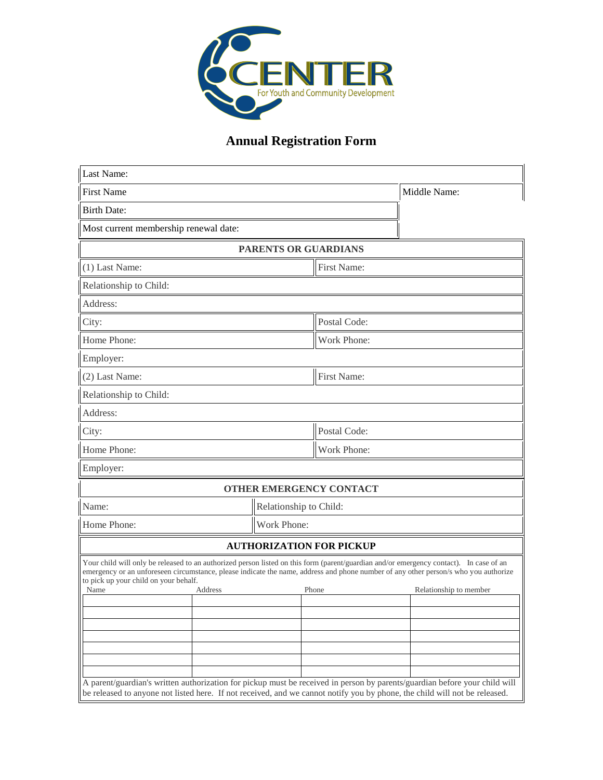

## **Annual Registration Form**

| Last Name:                                                                                                                                                                                                                                                                                                                                |                      |                                |                        |  |
|-------------------------------------------------------------------------------------------------------------------------------------------------------------------------------------------------------------------------------------------------------------------------------------------------------------------------------------------|----------------------|--------------------------------|------------------------|--|
| <b>First Name</b>                                                                                                                                                                                                                                                                                                                         |                      |                                | Middle Name:           |  |
| <b>Birth Date:</b>                                                                                                                                                                                                                                                                                                                        |                      |                                |                        |  |
| Most current membership renewal date:                                                                                                                                                                                                                                                                                                     |                      |                                |                        |  |
|                                                                                                                                                                                                                                                                                                                                           | PARENTS OR GUARDIANS |                                |                        |  |
| (1) Last Name:                                                                                                                                                                                                                                                                                                                            |                      | First Name:                    |                        |  |
| Relationship to Child:                                                                                                                                                                                                                                                                                                                    |                      |                                |                        |  |
| Address:                                                                                                                                                                                                                                                                                                                                  |                      |                                |                        |  |
| City:                                                                                                                                                                                                                                                                                                                                     |                      | Postal Code:                   |                        |  |
| Home Phone:                                                                                                                                                                                                                                                                                                                               |                      | Work Phone:                    |                        |  |
| Employer:                                                                                                                                                                                                                                                                                                                                 |                      |                                |                        |  |
| (2) Last Name:                                                                                                                                                                                                                                                                                                                            |                      | First Name:                    |                        |  |
| Relationship to Child:                                                                                                                                                                                                                                                                                                                    |                      |                                |                        |  |
| Address:                                                                                                                                                                                                                                                                                                                                  |                      |                                |                        |  |
| City:                                                                                                                                                                                                                                                                                                                                     |                      | Postal Code:                   |                        |  |
| Home Phone:                                                                                                                                                                                                                                                                                                                               |                      | Work Phone:                    |                        |  |
| Employer:                                                                                                                                                                                                                                                                                                                                 |                      |                                |                        |  |
|                                                                                                                                                                                                                                                                                                                                           |                      | <b>OTHER EMERGENCY CONTACT</b> |                        |  |
| Name:<br>Relationship to Child:                                                                                                                                                                                                                                                                                                           |                      |                                |                        |  |
| Work Phone:<br>Home Phone:                                                                                                                                                                                                                                                                                                                |                      |                                |                        |  |
| <b>AUTHORIZATION FOR PICKUP</b>                                                                                                                                                                                                                                                                                                           |                      |                                |                        |  |
| Your child will only be released to an authorized person listed on this form (parent/guardian and/or emergency contact). In case of an<br>emergency or an unforeseen circumstance, please indicate the name, address and phone number of any other person/s who you authorize<br>to pick up your child on your behalf.<br>Name<br>Address |                      | Phone                          | Relationship to member |  |
| A parent/guardian's written authorization for pickup must be received in person by parents/guardian before your child will<br>be released to anyone not listed here. If not received, and we cannot notify you by phone, the child will not be released.                                                                                  |                      |                                |                        |  |